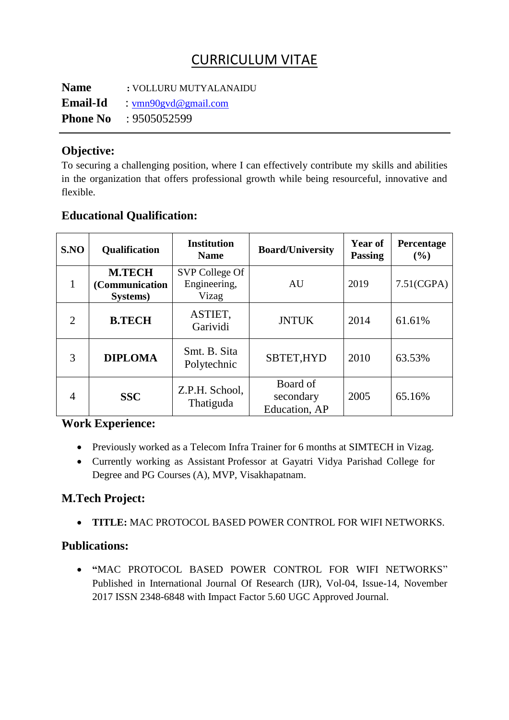# CURRICULUM VITAE

**Name Email-Id Phone No :** VOLLURU MUTYALANAIDU : [vmn90gvd@gmail.com](mailto:vmn90gvd@gmail.com) : 9505052599

### **Objective:**

To securing a challenging position, where I can effectively contribute my skills and abilities in the organization that offers professional growth while being resourceful, innovative and flexible.

| SNO            | <b>Qualification</b>                        | <b>Institution</b><br><b>Name</b>       | <b>Board/University</b>                | <b>Year of</b><br><b>Passing</b> | Percentage<br>(%) |
|----------------|---------------------------------------------|-----------------------------------------|----------------------------------------|----------------------------------|-------------------|
| 1              | <b>M.TECH</b><br>(Communication<br>Systems) | SVP College Of<br>Engineering,<br>Vizag | AU                                     | 2019                             | 7.51(CGPA)        |
| $\overline{2}$ | <b>B.TECH</b>                               | ASTIET,<br>Garividi                     | <b>JNTUK</b>                           | 2014                             | 61.61%            |
| 3              | <b>DIPLOMA</b>                              | Smt. B. Sita<br>Polytechnic             | SBTET, HYD                             | 2010                             | 63.53%            |
| 4              | <b>SSC</b>                                  | Z.P.H. School,<br>Thatiguda             | Board of<br>secondary<br>Education, AP | 2005                             | 65.16%            |

# **Educational Qualification:**

## **Work Experience:**

- Previously worked as a Telecom Infra Trainer for 6 months at SIMTECH in Vizag.
- Currently working as Assistant Professor at Gayatri Vidya Parishad College for Degree and PG Courses (A), MVP, Visakhapatnam.

## **M.Tech Project:**

**TITLE:** MAC PROTOCOL BASED POWER CONTROL FOR WIFI NETWORKS.

## **Publications:**

 Published in International Journal Of Research (IJR), Vol-04, Issue-14, November **"**MAC PROTOCOL BASED POWER CONTROL FOR WIFI NETWORKS" 2017 ISSN 2348-6848 with Impact Factor 5.60 UGC Approved Journal.